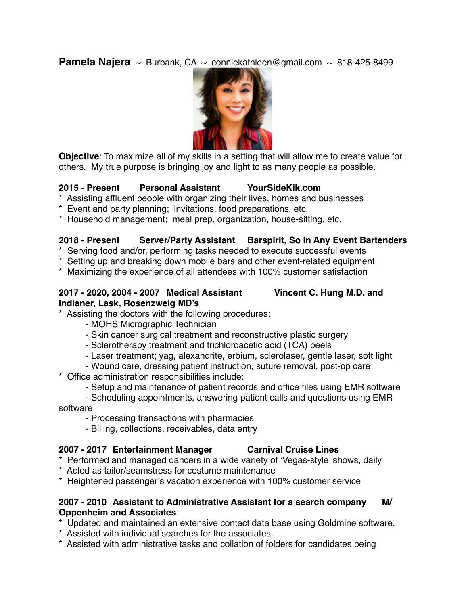**Pamela Najera**  $\sim$  Burbank, CA  $\sim$  conniekathleen@gmail.com  $\sim$  818-425-8499



**Objective**: To maximize all of my skills in a setting that will allow me to create value for others. My true purpose is bringing joy and light to as many people as possible.

## **2015 - Present Personal Assistant YourSideKik.com**

- \* Assisting affluent people with organizing their lives, homes and businesses
- \* Event and party planning; invitations, food preparations, etc.
- \* Household management; meal prep, organization, house-sitting, etc.

### **2018 - Present Server/Party Assistant Barspirit, So in Any Event Bartenders**

- \* Serving food and/or, performing tasks needed to execute successful events
- \* Setting up and breaking down mobile bars and other event-related equipment
- \* Maximizing the experience of all attendees with 100% customer satisfaction

## **2017 - 2020, 2004 - 2007 Medical Assistant Vincent C. Hung M.D. and Indianer, Lask, Rosenzweig MD's**

- \* Assisting the doctors with the following procedures:
	- MOHS Micrographic Technician
	- Skin cancer surgical treatment and reconstructive plastic surgery
	- Sclerotherapy treatment and trichloroacetic acid (TCA) peels
	- Laser treatment; yag, alexandrite, erbium, sclerolaser, gentle laser, soft light

- Wound care, dressing patient instruction, suture removal, post-op care \* Office administration responsibilities include:

- Setup and maintenance of patient records and office files using EMR software

- Scheduling appointments, answering patient calls and questions using EMR software

- Processing transactions with pharmacies
- Billing, collections, receivables, data entry

### **2007 - 2017 Entertainment Manager Carnival Cruise Lines**

- \* Performed and managed dancers in a wide variety of 'Vegas-style' shows, daily
- \* Acted as tailor/seamstress for costume maintenance
- \* Heightened passenger's vacation experience with 100% customer service

### **2007 - 2010 Assistant to Administrative Assistant for a search company M/ Oppenheim and Associates**

- \* Updated and maintained an extensive contact data base using Goldmine software.
- \* Assisted with individual searches for the associates.
- \* Assisted with administrative tasks and collation of folders for candidates being